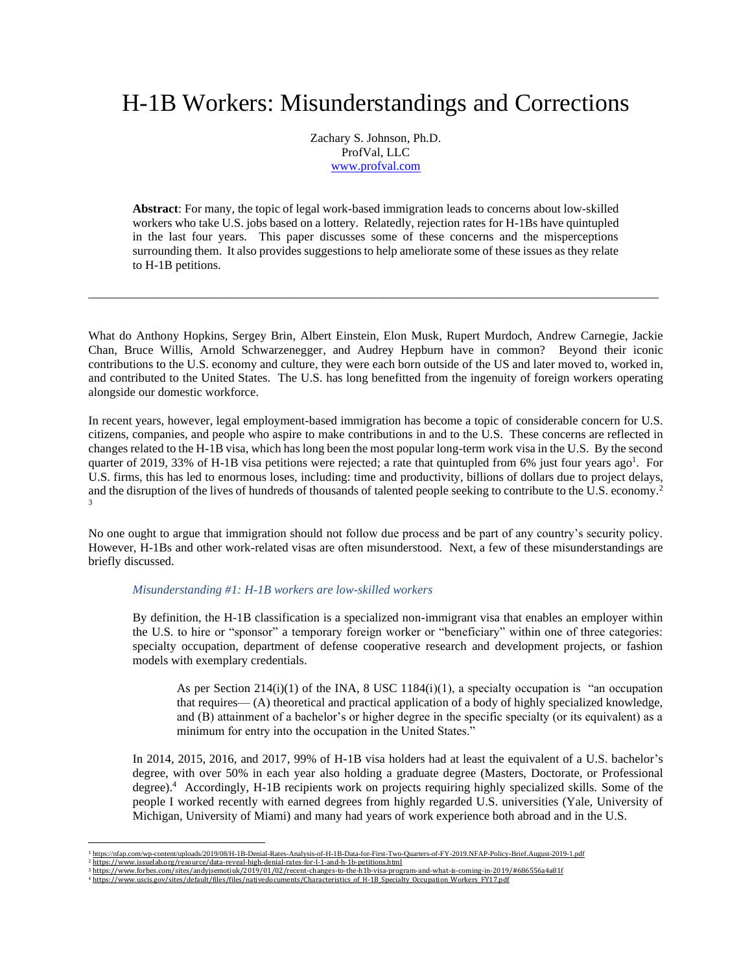# H-1B Workers: Misunderstandings and Corrections

Zachary S. Johnson, Ph.D. ProfVal, LLC [www.profval.com](http://www.profval.com/)

**Abstract**: For many, the topic of legal work-based immigration leads to concerns about low-skilled workers who take U.S. jobs based on a lottery. Relatedly, rejection rates for H-1Bs have quintupled in the last four years. This paper discusses some of these concerns and the misperceptions surrounding them. It also provides suggestions to help ameliorate some of these issues as they relate to H-1B petitions.

*\_\_\_\_\_\_\_\_\_\_\_\_\_\_\_\_\_\_\_\_\_\_\_\_\_\_\_\_\_\_\_\_\_\_\_\_\_\_\_\_\_\_\_\_\_\_\_\_\_\_\_\_\_\_\_\_\_\_\_\_\_\_\_\_\_\_\_\_\_\_\_\_\_\_\_\_\_\_\_\_\_\_\_\_\_\_\_\_\_\_\_\_\_*

What do Anthony Hopkins, Sergey Brin, Albert Einstein, Elon Musk, Rupert Murdoch, Andrew Carnegie, Jackie Chan, Bruce Willis, Arnold Schwarzenegger, and Audrey Hepburn have in common? Beyond their iconic contributions to the U.S. economy and culture, they were each born outside of the US and later moved to, worked in, and contributed to the United States. The U.S. has long benefitted from the ingenuity of foreign workers operating alongside our domestic workforce.

In recent years, however, legal employment-based immigration has become a topic of considerable concern for U.S. citizens, companies, and people who aspire to make contributions in and to the U.S. These concerns are reflected in changes related to the H-1B visa, which has long been the most popular long-term work visa in the U.S. By the second quarter of 2019, 33% of H-1B visa petitions were rejected; a rate that quintupled from  $6\%$  just four years ago<sup>1</sup>. For U.S. firms, this has led to enormous loses, including: time and productivity, billions of dollars due to project delays, and the disruption of the lives of hundreds of thousands of talented people seeking to contribute to the U.S. economy.<sup>2</sup> 3

No one ought to argue that immigration should not follow due process and be part of any country's security policy. However, H-1Bs and other work-related visas are often misunderstood. Next, a few of these misunderstandings are briefly discussed.

### *Misunderstanding #1: H-1B workers are low-skilled workers*

By definition, the H-1B classification is a specialized non-immigrant visa that enables an employer within the U.S. to hire or "sponsor" a temporary foreign worker or "beneficiary" within one of three categories: specialty occupation, department of defense cooperative research and development projects, or fashion models with exemplary credentials.

As per Section  $214(i)(1)$  of the INA, 8 USC  $1184(i)(1)$ , a specialty occupation is "an occupation that requires— (A) theoretical and practical application of a body of highly specialized knowledge, and (B) attainment of a bachelor's or higher degree in the specific specialty (or its equivalent) as a minimum for entry into the occupation in the United States."

In 2014, 2015, 2016, and 2017, 99% of H-1B visa holders had at least the equivalent of a U.S. bachelor's degree, with over 50% in each year also holding a graduate degree (Masters, Doctorate, or Professional degree).<sup>4</sup> Accordingly, H-1B recipients work on projects requiring highly specialized skills. Some of the people I worked recently with earned degrees from highly regarded U.S. universities (Yale, University of Michigan, University of Miami) and many had years of work experience both abroad and in the U.S.

<sup>1</sup> <https://nfap.com/wp-content/uploads/2019/08/H-1B-Denial-Rates-Analysis-of-H-1B-Data-for-First-Two-Quarters-of-FY-2019.NFAP-Policy-Brief.August-2019-1.pdf>

<sup>2</sup> <https://www.issuelab.org/resource/data-reveal-high-denial-rates-for-l-1-and-h-1b-petitions.html> <sup>3</sup> <https://www.forbes.com/sites/andyjsemotiuk/2019/01/02/recent-changes-to-the-h1b-visa-program-and-what-is-coming-in-2019/#686556a4a81f>

<sup>4</sup> [https://www.uscis.gov/sites/default/files/files/nativedocuments/Characteristics\\_of\\_H-1B\\_Specialty\\_Occupation\\_Workers\\_FY17.pdf](https://www.uscis.gov/sites/default/files/files/nativedocuments/Characteristics_of_H-1B_Specialty_Occupation_Workers_FY17.pdf)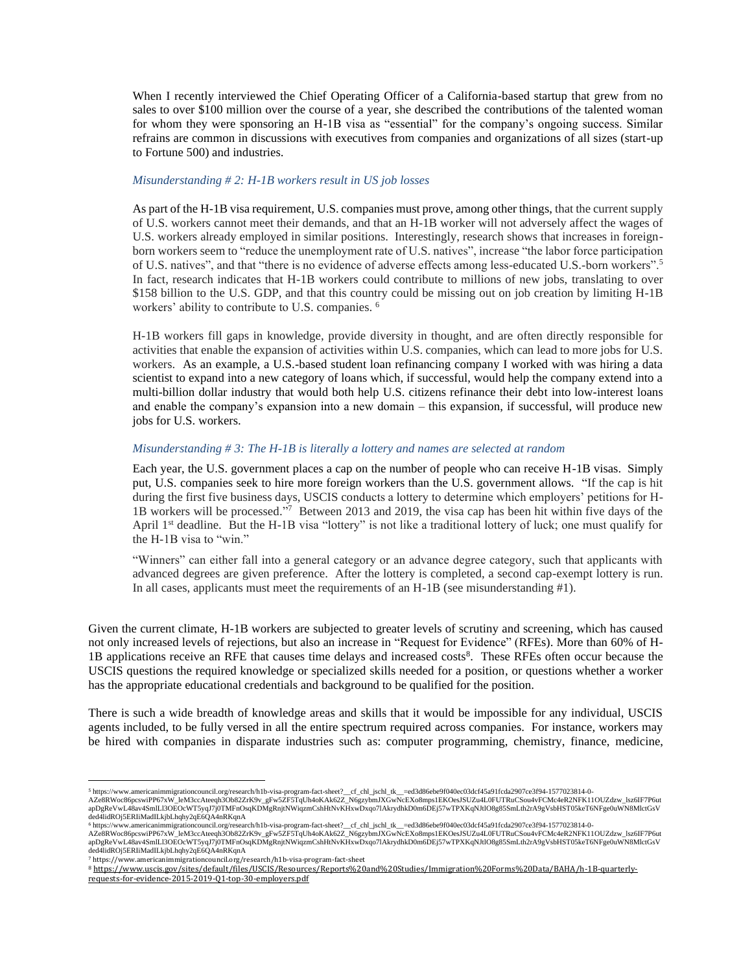When I recently interviewed the Chief Operating Officer of a California-based startup that grew from no sales to over \$100 million over the course of a year, she described the contributions of the talented woman for whom they were sponsoring an H-1B visa as "essential" for the company's ongoing success. Similar refrains are common in discussions with executives from companies and organizations of all sizes (start-up to Fortune 500) and industries.

## *Misunderstanding # 2: H-1B workers result in US job losses*

As part of the H-1B visa requirement, U.S. companies must prove, among other things, that the current supply of U.S. workers cannot meet their demands, and that an H-1B worker will not adversely affect the wages of U.S. workers already employed in similar positions. Interestingly, research shows that increases in foreignborn workers seem to "reduce the unemployment rate of U.S. natives", increase "the labor force participation of U.S. natives", and that "there is no evidence of adverse effects among less-educated U.S.-born workers".<sup>5</sup> In fact, research indicates that H-1B workers could contribute to millions of new jobs, translating to over \$158 billion to the U.S. GDP, and that this country could be missing out on job creation by limiting H-1B workers' ability to contribute to U.S. companies. <sup>6</sup>

H-1B workers fill gaps in knowledge, provide diversity in thought, and are often directly responsible for activities that enable the expansion of activities within U.S. companies, which can lead to more jobs for U.S. workers.As an example, a U.S.-based student loan refinancing company I worked with was hiring a data scientist to expand into a new category of loans which, if successful, would help the company extend into a multi-billion dollar industry that would both help U.S. citizens refinance their debt into low-interest loans and enable the company's expansion into a new domain – this expansion, if successful, will produce new jobs for U.S. workers.

### *Misunderstanding # 3: The H-1B is literally a lottery and names are selected at random*

Each year, the U.S. government places a cap on the number of people who can receive H-1B visas. Simply put, U.S. companies seek to hire more foreign workers than the U.S. government allows. "If the cap is hit during the first five business days, USCIS conducts a lottery to determine which employers' petitions for H-1B workers will be processed." 7 Between 2013 and 2019, the visa cap has been hit within five days of the April 1<sup>st</sup> deadline. But the H-1B visa "lottery" is not like a traditional lottery of luck; one must qualify for the H-1B visa to "win."

"Winners" can either fall into a general category or an advance degree category, such that applicants with advanced degrees are given preference. After the lottery is completed, a second cap-exempt lottery is run. In all cases, applicants must meet the requirements of an H-1B (see misunderstanding #1).

Given the current climate, H-1B workers are subjected to greater levels of scrutiny and screening, which has caused not only increased levels of rejections, but also an increase in "Request for Evidence" (RFEs). More than 60% of H-1B applications receive an RFE that causes time delays and increased costs<sup>8</sup>. These RFEs often occur because the USCIS questions the required knowledge or specialized skills needed for a position, or questions whether a worker has the appropriate educational credentials and background to be qualified for the position.

There is such a wide breadth of knowledge areas and skills that it would be impossible for any individual, USCIS agents included, to be fully versed in all the entire spectrum required across companies. For instance, workers may be hired with companies in disparate industries such as: computer programming, chemistry, finance, medicine,

<sup>5</sup> https://www.americanimmigrationcouncil.org/research/h1b-visa-program-fact-sheet?\_\_cf\_chl\_jschl\_tk\_\_=ed3d86ebe9f040ec03dcf45a91fcda2907ce3f94-1577023814-0-<br>AZe8RWoc86pcswiPP67xW\_leM3ccAteeqh3Ob82ZrK9v\_gFw5ZF5TqUh4oKAk62Z\_ apDgReVwL48av4SmlLl3OEOcWT5yqJ7j0TMFnOsqKDMgRnjtNWiqzmCshHtNvKHxwDxqo7lAkrydhkD0m6DEj57wTPXKqNJtlO8g85SmLth2rA9gVsbHST05keT6NFge0uWN8MlctGsV<br>ded4lidROj5ERIiMadILkjbLhqhy2qE6QA4nRKqnA

<sup>©</sup>https://www.americanimmigrationcouncil.org/research/h1b-visa-program-fact-sheet?\_\_cf\_chl\_jschl\_tk\_\_=ed3d86ebe9f040ec03dcf45a91fcda2907ce3f94-1577023814-0-<br>AZe8RWoc86pcswiPP67xW\_leM3ccAteeqh3Ob82ZrK9v\_gFw5ZF5TqlJh4oKAk62Z ded4lidROj5ERIiMadILkjbLhqhy2qE6QA4nRKqnA <sup>7</sup> https://www.americanimmigrationcouncil.org/research/h1b-visa-program-fact-sheet

<sup>8</sup> [https://www.uscis.gov/sites/default/files/USCIS/Resources/Reports%20and%20Studies/Immigration%20Forms%20Data/BAHA/h-1B-quarterly](https://www.uscis.gov/sites/default/files/USCIS/Resources/Reports%20and%20Studies/Immigration%20Forms%20Data/BAHA/h-1B-quarterly-requests-for-evidence-2015-2019-Q1-top-30-employers.pdf)[requests-for-evidence-2015-2019-Q1-top-30-employers.pdf](https://www.uscis.gov/sites/default/files/USCIS/Resources/Reports%20and%20Studies/Immigration%20Forms%20Data/BAHA/h-1B-quarterly-requests-for-evidence-2015-2019-Q1-top-30-employers.pdf)